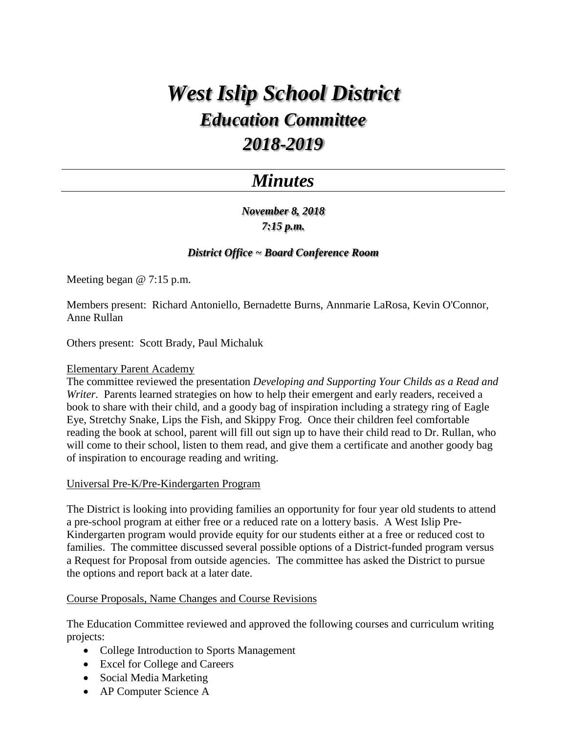# *West Islip School District Education Committee 2018-2019*

## *Minutes*

*November 8, 2018 7:15 p.m.*

### *District Office ~ Board Conference Room*

Meeting began @ 7:15 p.m.

Members present: Richard Antoniello, Bernadette Burns, Annmarie LaRosa, Kevin O'Connor, Anne Rullan

Others present: Scott Brady, Paul Michaluk

#### Elementary Parent Academy

The committee reviewed the presentation *Developing and Supporting Your Childs as a Read and Writer*. Parents learned strategies on how to help their emergent and early readers, received a book to share with their child, and a goody bag of inspiration including a strategy ring of Eagle Eye, Stretchy Snake, Lips the Fish, and Skippy Frog. Once their children feel comfortable reading the book at school, parent will fill out sign up to have their child read to Dr. Rullan, who will come to their school, listen to them read, and give them a certificate and another goody bag of inspiration to encourage reading and writing.

#### Universal Pre-K/Pre-Kindergarten Program

The District is looking into providing families an opportunity for four year old students to attend a pre-school program at either free or a reduced rate on a lottery basis. A West Islip Pre-Kindergarten program would provide equity for our students either at a free or reduced cost to families. The committee discussed several possible options of a District-funded program versus a Request for Proposal from outside agencies. The committee has asked the District to pursue the options and report back at a later date.

#### Course Proposals, Name Changes and Course Revisions

The Education Committee reviewed and approved the following courses and curriculum writing projects:

- College Introduction to Sports Management
- Excel for College and Careers
- Social Media Marketing
- AP Computer Science A